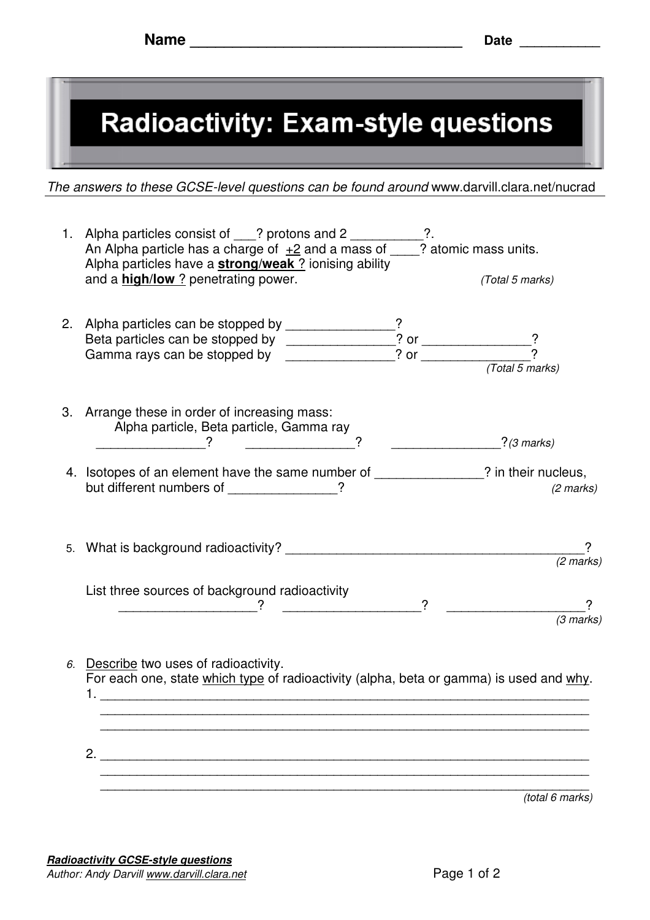

The answers to these GCSE-level questions can be found around www.darvill.clara.net/nucrad

|                                                                                                                                   | 1. Alpha particles consist of ___? protons and 2 _______<br>An Alpha particle has a charge of $\pm 2$ and a mass of ___? atomic mass units.<br>Alpha particles have a <b>strong/weak</b> ? ionising ability<br>and a <b>high/low</b> ? penetrating power. | $?$ . | (Total 5 marks)     |
|-----------------------------------------------------------------------------------------------------------------------------------|-----------------------------------------------------------------------------------------------------------------------------------------------------------------------------------------------------------------------------------------------------------|-------|---------------------|
|                                                                                                                                   | 2. Alpha particles can be stopped by _____________?<br>Beta particles can be stopped by ____________? or ___________?<br>Gamma rays can be stopped by _____________? or ___________?                                                                      |       | (Total 5 marks)     |
|                                                                                                                                   | 3. Arrange these in order of increasing mass:<br>Alpha particle, Beta particle, Gamma ray<br>$\overbrace{\hspace{2.5cm}}^2$                                                                                                                               |       | $?$ (3 marks)       |
|                                                                                                                                   | 4. Isotopes of an element have the same number of ______________? in their nucleus,<br>but different numbers of _____________?                                                                                                                            |       | $(2 \text{ marks})$ |
|                                                                                                                                   |                                                                                                                                                                                                                                                           |       | $(2$ marks)         |
|                                                                                                                                   | List three sources of background radioactivity<br>$\overline{\phantom{a}}$ ?                                                                                                                                                                              |       | $(3$ marks)         |
| 6. Describe two uses of radioactivity.<br>For each one, state which type of radioactivity (alpha, beta or gamma) is used and why. |                                                                                                                                                                                                                                                           |       |                     |
|                                                                                                                                   | 2.                                                                                                                                                                                                                                                        |       |                     |
|                                                                                                                                   |                                                                                                                                                                                                                                                           |       | (total 6 marks)     |

**Radioactivity GCSE-style questions** Author: Andy Darvill www.darvill.clara.net example 1 control and Page 1 of 2